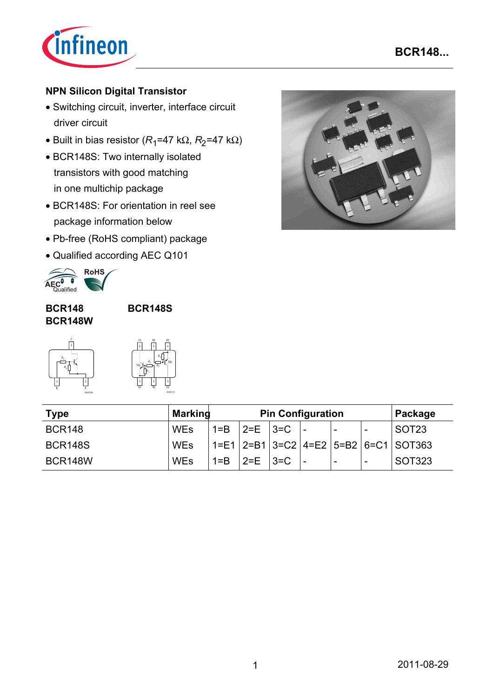

# **NPN Silicon Digital Transistor**

- Switching circuit, inverter, interface circuit driver circuit
- Built in bias resistor ( $R_1$ =47 k $\Omega$ ,  $R_2$ =47 k $\Omega$ )
- BCR148S: Two internally isolated transistors with good matching in one multichip package
- BCR148S: For orientation in reel see package information below
- Pb-free (RoHS compliant) package
- Qualified according AEC Q101



#### **BCR148 BCR148W**

**BCR148S**



| C <sub>1</sub><br>6 | B <sub>2</sub><br>5               | E <sub>2</sub>                    |
|---------------------|-----------------------------------|-----------------------------------|
| TR <sub>1</sub>     | Ŕ,<br>$\overline{R_1}$<br>$R_{2}$ | R <sub>2</sub><br>TR <sub>2</sub> |

EHA07174

| <b>Type</b>    | <b>Marking</b> | <b>Pin Configuration</b> |                 |  |  |                          | Package                  |                                                      |
|----------------|----------------|--------------------------|-----------------|--|--|--------------------------|--------------------------|------------------------------------------------------|
| <b>BCR148</b>  | <b>WEs</b>     |                          | $1 = B$ 2=E 3=C |  |  | $\overline{\phantom{a}}$ | -                        | SOT <sub>23</sub>                                    |
| BCR148S        | <b>WEs</b>     |                          |                 |  |  |                          |                          | $1 = E1$   2=B1   3=C2   4=E2   5=B2   6=C1   SOT363 |
| <b>BCR148W</b> | <b>WEs</b>     | $1 = B$                  | $ 2=E$ $ 3=C$   |  |  | $\overline{\phantom{a}}$ | $\overline{\phantom{a}}$ | SOT323                                               |

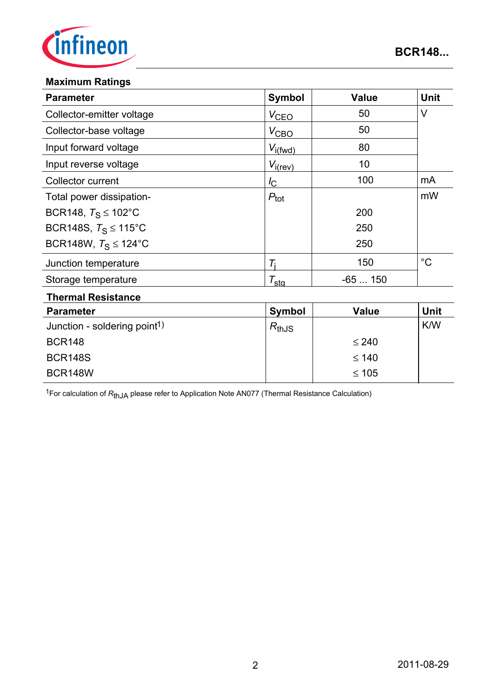

### **Maximum Ratings**

BCR148W

| <b>Parameter</b>                         | Symbol              | <b>Value</b> | <b>Unit</b> |
|------------------------------------------|---------------------|--------------|-------------|
| Collector-emitter voltage                | $V_{CEQ}$           | 50           | $\vee$      |
| Collector-base voltage                   | $V_{\text{CBO}}$    | 50           |             |
| Input forward voltage                    | $V_{i(fwd)}$        | 80           |             |
| Input reverse voltage                    | $V_{i(rev)}$        | 10           |             |
| Collector current                        | $I_{\rm C}$         | 100          | mA          |
| Total power dissipation-                 | $P_{\text{tot}}$    |              | mW          |
| BCR148, $T_S \le 102^{\circ}$ C          |                     | 200          |             |
| BCR148S, $T_S \le 115^{\circ}$ C         |                     | 250          |             |
| BCR148W, $T_S \le 124$ °C                |                     | 250          |             |
| Junction temperature                     | $T_i$               | 150          | $^{\circ}C$ |
| Storage temperature                      | $\tau_{\text{sta}}$ | $-65150$     |             |
| <b>Thermal Resistance</b>                |                     |              |             |
| <b>Parameter</b>                         | <b>Symbol</b>       | <b>Value</b> | <b>Unit</b> |
| Junction - soldering point <sup>1)</sup> | $R_{thJS}$          |              | K/W         |
| <b>BCR148</b>                            |                     | $\leq 240$   |             |
| <b>BCR148S</b>                           |                     | $≤ 140$      |             |

<sup>1</sup>For calculation of  $R_{thJA}$  please refer to Application Note AN077 (Thermal Resistance Calculation)

≤ 105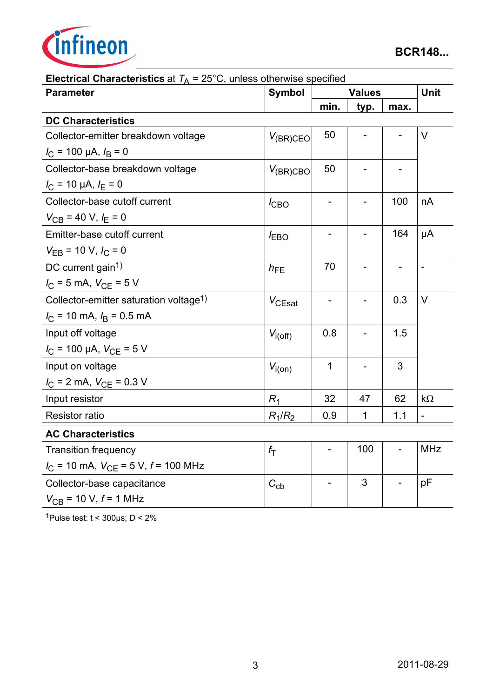

| <b>Parameter</b>                                             | Symbol             | <b>Values</b> |             |                | Unit                     |
|--------------------------------------------------------------|--------------------|---------------|-------------|----------------|--------------------------|
|                                                              |                    | min.          | typ.        | max.           |                          |
| <b>DC Characteristics</b>                                    |                    |               |             |                |                          |
| Collector-emitter breakdown voltage                          | $V_{(BR)CEO}$      | 50            |             |                | $\vee$                   |
| $I_C$ = 100 µA, $I_B$ = 0                                    |                    |               |             |                |                          |
| Collector-base breakdown voltage                             | $V_{(BR)CBO}$      | 50            |             |                |                          |
| $I_{\rm C}$ = 10 µA, $I_{\rm E}$ = 0                         |                    |               |             |                |                          |
| Collector-base cutoff current                                | $I_{CBO}$          |               |             | 100            | nA                       |
| $V_{CB}$ = 40 V, $I_E$ = 0                                   |                    |               |             |                |                          |
| Emitter-base cutoff current                                  | <b>EBO</b>         |               |             | 164            | μA                       |
| $V_{EB}$ = 10 V, $I_C$ = 0                                   |                    |               |             |                |                          |
| DC current gain <sup>1)</sup>                                | $h_{FE}$           | 70            |             | $\overline{a}$ | $\overline{\phantom{a}}$ |
| $I_C = 5$ mA, $V_{CE} = 5$ V                                 |                    |               |             |                |                          |
| Collector-emitter saturation voltage <sup>1)</sup>           | $V_{\text{CEsat}}$ | -             |             | 0.3            | V                        |
| $I_{\rm C}$ = 10 mA, $I_{\rm B}$ = 0.5 mA                    |                    |               |             |                |                          |
| Input off voltage                                            | $V_{i(off)}$       | 0.8           |             | 1.5            |                          |
| $I_{\rm C}$ = 100 µA, $V_{\rm CE}$ = 5 V                     |                    |               |             |                |                          |
| Input on voltage                                             | $V_{i(on)}$        | $\mathbf{1}$  |             | 3              |                          |
| $I_{\rm C}$ = 2 mA, $V_{\rm CE}$ = 0.3 V                     |                    |               |             |                |                          |
| Input resistor                                               | $R_1$              | 32            | 47          | 62             | $k\Omega$                |
| <b>Resistor ratio</b>                                        | $R_1/R_2$          | 0.9           | $\mathbf 1$ | 1.1            | $\overline{a}$           |
| <b>AC Characteristics</b>                                    |                    |               |             |                |                          |
| <b>Transition frequency</b>                                  | $f_{\mathsf{T}}$   |               | 100         |                | <b>MHz</b>               |
| $I_{\text{C}}$ = 10 mA, $V_{\text{CE}}$ = 5 V, $f$ = 100 MHz |                    |               |             |                |                          |
| Collector-base capacitance                                   | $C_{\text{cb}}$    |               | 3           |                | pF                       |
| $V_{\text{CB}}$ = 10 V, $f$ = 1 MHz                          |                    |               |             |                |                          |

| <b>Electrical Characteristics</b> at $T_A = 25^{\circ}$ C, unless otherwise specified |  |  |
|---------------------------------------------------------------------------------------|--|--|
|                                                                                       |  |  |

1Pulse test:  $t < 300 \mu s$ ;  $D < 2\%$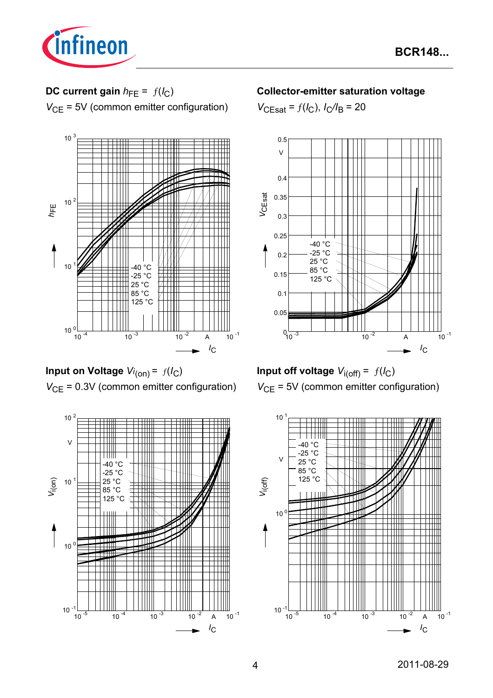

# **DC current gain**  $h_{FE} = f(l_C)$

*V*<sub>CE</sub> = 5V (common emitter configuration)



**Input on Voltage** *Vi* (on) = ƒ(*I*C) *V*<sub>CE</sub> = 0.3V (common emitter configuration)



## **Collector-emitter saturation voltage**

 $V_{\text{CEsat}} = f(I_{\text{C}}), I_{\text{C}}/I_{\text{B}} = 20$ 





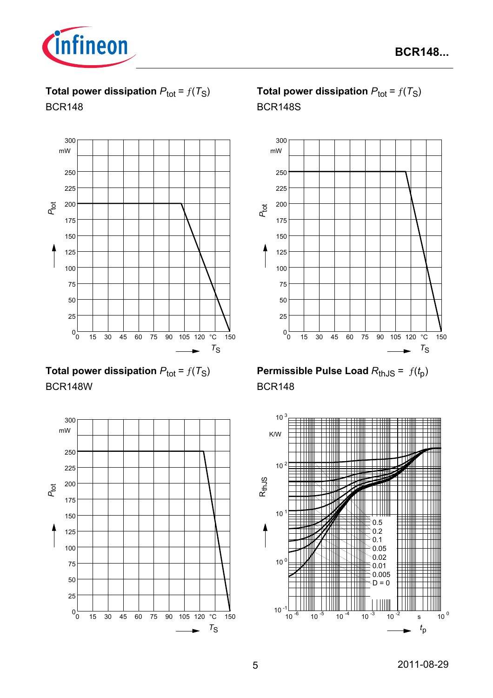

**Total power dissipation**  $P_{\text{tot}} = f(T_S)$ BCR148



**Total power dissipation**  $P_{\text{tot}} = f(T_S)$ BCR148W



# **Total power dissipation**  $P_{\text{tot}} = f(T_S)$ BCR148S



**Permissible Pulse Load**  $R_{th,JS} = f(t_p)$ BCR148

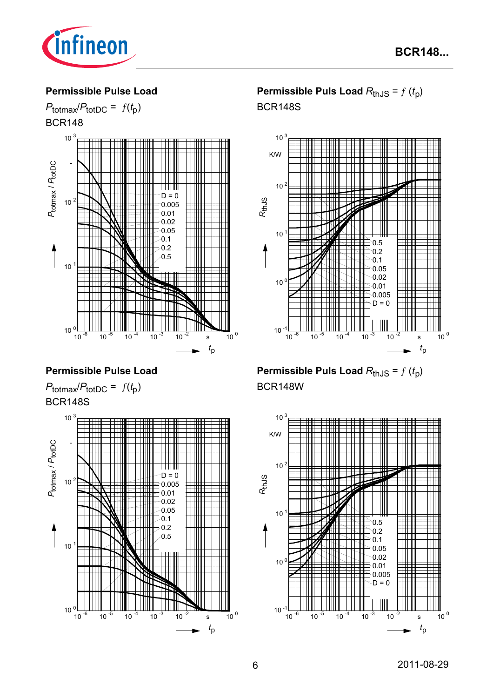

#### **Permissible Pulse Load**



## **Permissible Pulse Load**





# **Permissible Puls Load**  $R_{thJS} = f(t_p)$ BCR148S



**Permissible Puls Load**  $R_{thJS} = f(t_p)$ BCR148W

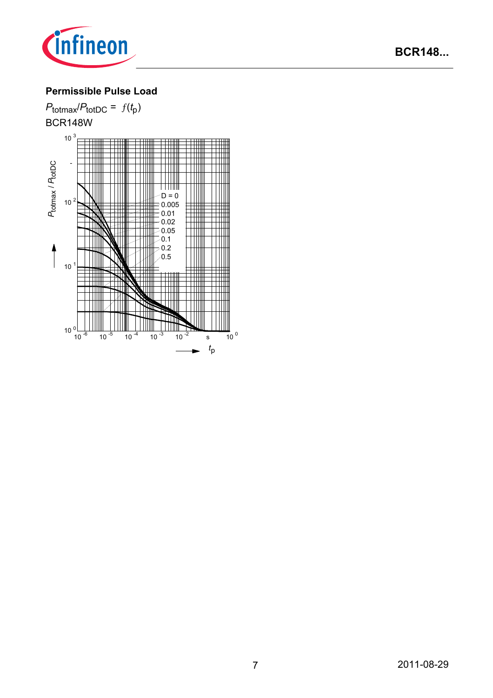

# **Permissible Pulse Load**

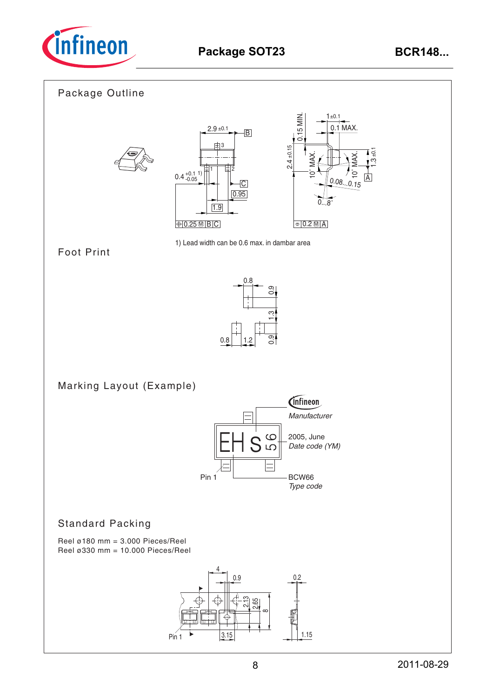

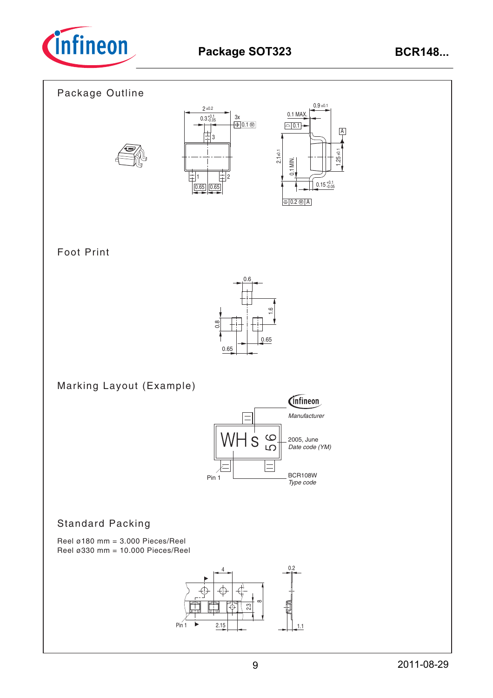

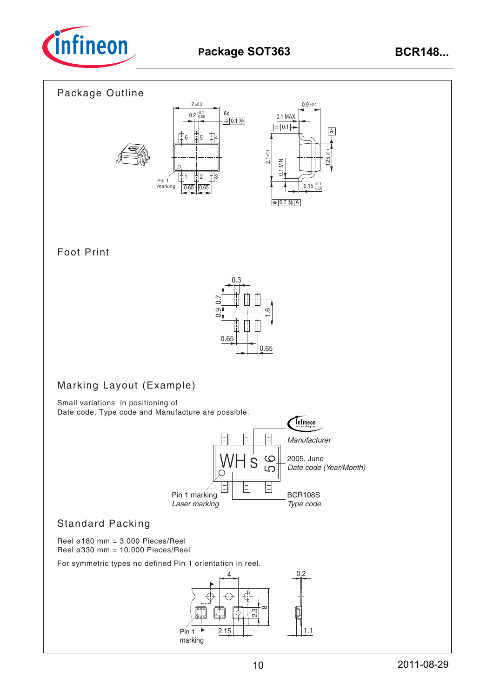